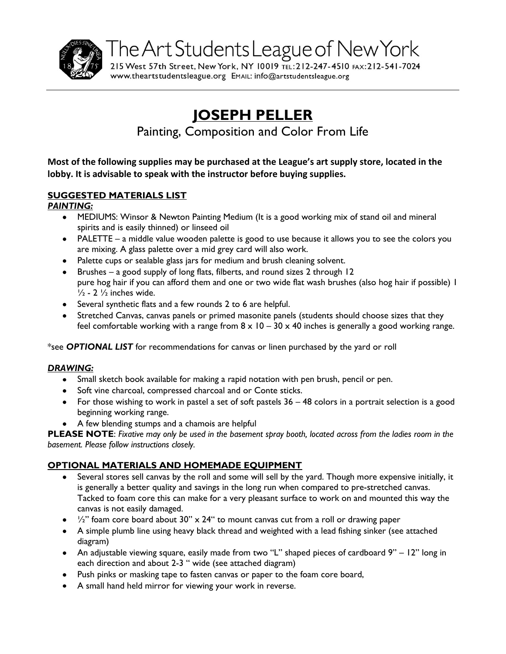

215 West 57th Street, New York, NY 10019 TEL: 212-247-4510 FAX: 212-541-7024 www.theartstudentsleague.org EMAIL: info@artstudentsleague.org

# **JOSEPH PELLER**

Painting, Composition and Color From Life

**Most of the following supplies may be purchased at the League's art supply store, located in the lobby. It is advisable to speak with the instructor before buying supplies.**

# **SUGGESTED MATERIALS LIST**

## *PAINTING:*

- MEDIUMS: Winsor & Newton Painting Medium (It is a good working mix of stand oil and mineral spirits and is easily thinned) or linseed oil
- PALETTE a middle value wooden palette is good to use because it allows you to see the colors you are mixing. A glass palette over a mid grey card will also work.
- Palette cups or sealable glass jars for medium and brush cleaning solvent.
- Brushes a good supply of long flats, filberts, and round sizes 2 through 12 pure hog hair if you can afford them and one or two wide flat wash brushes (also hog hair if possible) 1  $\frac{1}{2}$  - 2  $\frac{1}{2}$  inches wide.
- Several synthetic flats and a few rounds 2 to 6 are helpful.
- Stretched Canvas, canvas panels or primed masonite panels (students should choose sizes that they feel comfortable working with a range from  $8 \times 10 - 30 \times 40$  inches is generally a good working range.

\*see *OPTIONAL LIST* for recommendations for canvas or linen purchased by the yard or roll

# *DRAWING:*

- Small sketch book available for making a rapid notation with pen brush, pencil or pen.
- Soft vine charcoal, compressed charcoal and or Conte sticks.
- For those wishing to work in pastel a set of soft pastels 36 48 colors in a portrait selection is a good beginning working range.
- A few blending stumps and a chamois are helpful

**PLEASE NOTE**: *Fixative may only be used in the basement spray booth, located across from the ladies room in the basement. Please follow instructions closely.*

# **OPTIONAL MATERIALS AND HOMEMADE EQUIPMENT**

- Several stores sell canvas by the roll and some will sell by the yard. Though more expensive initially, it is generally a better quality and savings in the long run when compared to pre-stretched canvas. Tacked to foam core this can make for a very pleasant surface to work on and mounted this way the canvas is not easily damaged.
- $\bullet$  /2" foam core board about 30" x 24" to mount canvas cut from a roll or drawing paper
- A simple plumb line using heavy black thread and weighted with a lead fishing sinker (see attached diagram)
- An adjustable viewing square, easily made from two "L" shaped pieces of cardboard 9" 12" long in each direction and about 2-3 " wide (see attached diagram)
- Push pinks or masking tape to fasten canvas or paper to the foam core board,
- A small hand held mirror for viewing your work in reverse.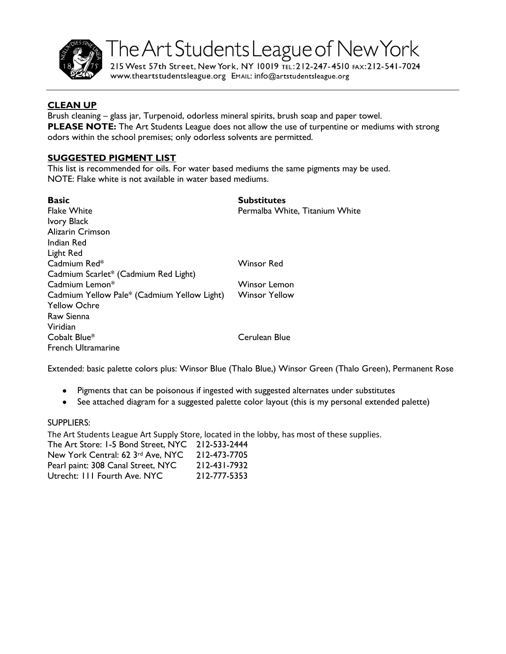

215 West 57th Street, New York, NY 10019 TEL: 212-247-4510 FAX: 212-541-7024 www.theartstudentsleague.org EMAIL: info@artstudentsleague.org

#### **CLEAN UP**

Brush cleaning – glass jar, Turpenoid, odorless mineral spirits, brush soap and paper towel. **PLEASE NOTE:** The Art Students League does not allow the use of turpentine or mediums with strong odors within the school premises; only odorless solvents are permitted.

#### **SUGGESTED PIGMENT LIST**

This list is recommended for oils. For water based mediums the same pigments may be used. NOTE: Flake white is not available in water based mediums.

| <b>Basic</b>                                | <b>Substitutes</b>             |
|---------------------------------------------|--------------------------------|
| <b>Flake White</b>                          | Permalba White, Titanium White |
| <b>Ivory Black</b>                          |                                |
| Alizarin Crimson                            |                                |
| Indian Red                                  |                                |
| Light Red                                   |                                |
| Cadmium Red*                                | Winsor Red                     |
| Cadmium Scarlet* (Cadmium Red Light)        |                                |
| Cadmium Lemon*                              | Winsor Lemon                   |
| Cadmium Yellow Pale* (Cadmium Yellow Light) | <b>Winsor Yellow</b>           |
| <b>Yellow Ochre</b>                         |                                |
| Raw Sienna                                  |                                |
| Viridian                                    |                                |
| Cobalt Blue*                                | Cerulean Blue                  |
| <b>French Ultramarine</b>                   |                                |

Extended: basic palette colors plus: Winsor Blue (Thalo Blue,) Winsor Green (Thalo Green), Permanent Rose

- Pigments that can be poisonous if ingested with suggested alternates under substitutes
- See attached diagram for a suggested palette color layout (this is my personal extended palette)

#### SUPPLIERS:

The Art Students League Art Supply Store, located in the lobby, has most of these supplies. The Art Store: 1-5 Bond Street, NYC 212-533-2444 New York Central: 62 3rd Ave, NYC 212-473-7705 Pearl paint: 308 Canal Street, NYC 212-431-7932 Utrecht: 111 Fourth Ave. NYC 212-777-5353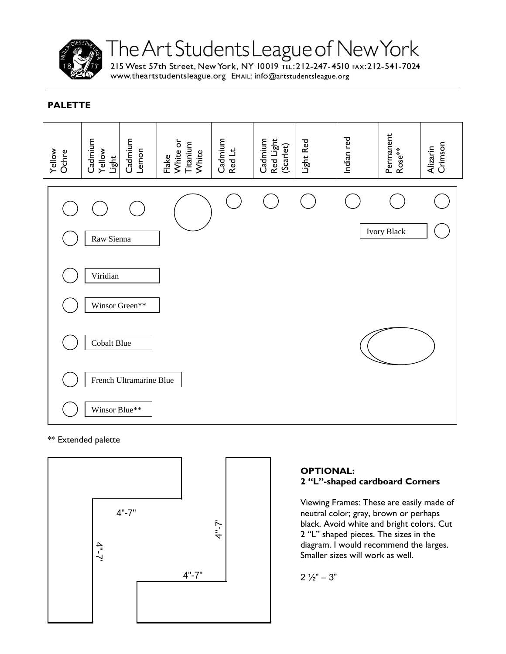

215 West 57th Street, New York, NY 10019 TEL: 212-247-4510 FAX: 212-541-7024 www.theartstudentsleague.org EMAIL: info@artstudentsleague.org

# **PALETTE**



#### \*\* Extended palette



# **OPTIONAL: 2 "L"-shaped cardboard Corners**

Viewing Frames: These are easily made of neutral color; gray, brown or perhaps black. Avoid white and bright colors. Cut 2 "L" shaped pieces. The sizes in the diagram. I would recommend the larges. Smaller sizes will work as well.

 $2\frac{1}{2}$ " – 3"